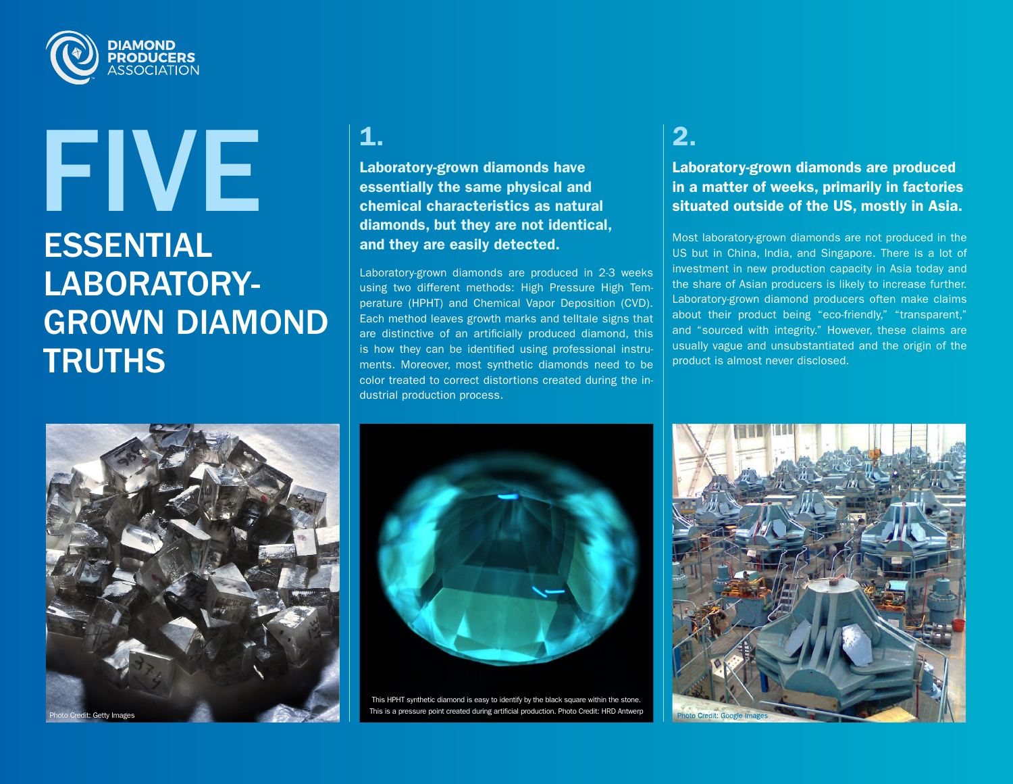

## ESSENTIAL LABORATORY-GROWN DIAMOND **TRUTHS** FIVE **1.**

Laboratory-grown diamonds have essentially the same physical and chemical characteristics as natural diamonds, but they are not identical, and they are easily detected.

Laboratory-grown diamonds are produced in 2-3 weeks using two different methods: High Pressure High Temperature (HPHT) and Chemical Vapor Deposition (CVD). Each method leaves growth marks and telltale signs that are distinctive of an artificially produced diamond, this is how they can be identified using professional instruments. Moreover, most synthetic diamonds need to be color treated to correct distortions created during the industrial production process.

### 2.

Laboratory-grown diamonds are produced in a matter of weeks, primarily in factories situated outside of the US, mostly in Asia.

Most laboratory-grown diamonds are not produced in the US but in China, India, and Singapore. There is a lot of investment in new production capacity in Asia today and the share of Asian producers is likely to increase further. Laboratory-grown diamond producers often make claims about their product being "eco-friendly," "transparent," and "sourced with integrity." However, these claims are usually vague and unsubstantiated and the origin of the product is almost never disclosed.





This HPHT synthetic diamond is easy to identify by the black square within the stone. This is a pressure point created during artificial production. Photo Credit: HRD Antwerp